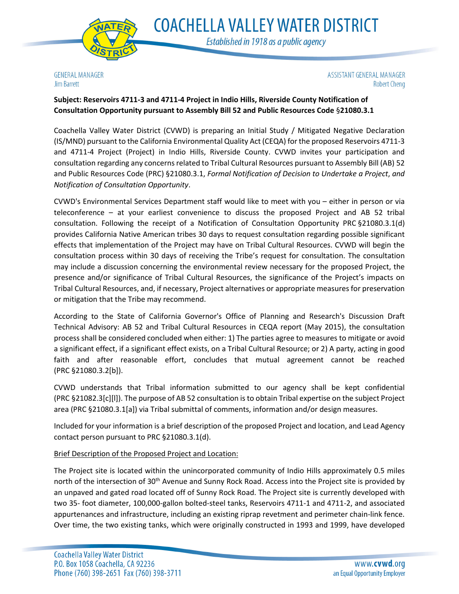

**COACHELLA VALLEY WATER DISTRICT** Established in 1918 as a public agency

**GENERAL MANAGER Jim Barrett** 

ASSISTANT GENERAL MANAGER **Robert Cheng** 

# **Subject: Reservoirs 4711-3 and 4711-4 Project in Indio Hills, Riverside County Notification of Consultation Opportunity pursuant to Assembly Bill 52 and Public Resources Code** §**21080.3.1**

Coachella Valley Water District (CVWD) is preparing an Initial Study / Mitigated Negative Declaration (IS/MND) pursuant to the California Environmental Quality Act (CEQA) for the proposed Reservoirs 4711-3 and 4711-4 Project (Project) in Indio Hills, Riverside County. CVWD invites your participation and consultation regarding any concerns related to Tribal Cultural Resources pursuant to Assembly Bill (AB) 52 and Public Resources Code (PRC) §21080.3.1, *Formal Notification of Decision to Undertake a Project*, *and Notification of Consultation Opportunity*.

CVWD's Environmental Services Department staff would like to meet with you – either in person or via teleconference – at your earliest convenience to discuss the proposed Project and AB 52 tribal consultation. Following the receipt of a Notification of Consultation Opportunity PRC §21080.3.1(d) provides California Native American tribes 30 days to request consultation regarding possible significant effects that implementation of the Project may have on Tribal Cultural Resources. CVWD will begin the consultation process within 30 days of receiving the Tribe's request for consultation. The consultation may include a discussion concerning the environmental review necessary for the proposed Project, the presence and/or significance of Tribal Cultural Resources, the significance of the Project's impacts on Tribal Cultural Resources, and, if necessary, Project alternatives or appropriate measures for preservation or mitigation that the Tribe may recommend.

According to the State of California Governor's Office of Planning and Research's Discussion Draft Technical Advisory: AB 52 and Tribal Cultural Resources in CEQA report (May 2015), the consultation process shall be considered concluded when either: 1) The parties agree to measures to mitigate or avoid a significant effect, if a significant effect exists, on a Tribal Cultural Resource; or 2) A party, acting in good faith and after reasonable effort, concludes that mutual agreement cannot be reached (PRC §21080.3.2[b]).

CVWD understands that Tribal information submitted to our agency shall be kept confidential (PRC §21082.3[c][l]). The purpose of AB 52 consultation is to obtain Tribal expertise on the subject Project area (PRC §21080.3.1[a]) via Tribal submittal of comments, information and/or design measures.

Included for your information is a brief description of the proposed Project and location, and Lead Agency contact person pursuant to PRC §21080.3.1(d).

### Brief Description of the Proposed Project and Location:

The Project site is located within the unincorporated community of Indio Hills approximately 0.5 miles north of the intersection of 30<sup>th</sup> Avenue and Sunny Rock Road. Access into the Project site is provided by an unpaved and gated road located off of Sunny Rock Road. The Project site is currently developed with two 35- foot diameter, 100,000-gallon bolted-steel tanks, Reservoirs 4711-1 and 4711-2, and associated appurtenances and infrastructure, including an existing riprap revetment and perimeter chain-link fence. Over time, the two existing tanks, which were originally constructed in 1993 and 1999, have developed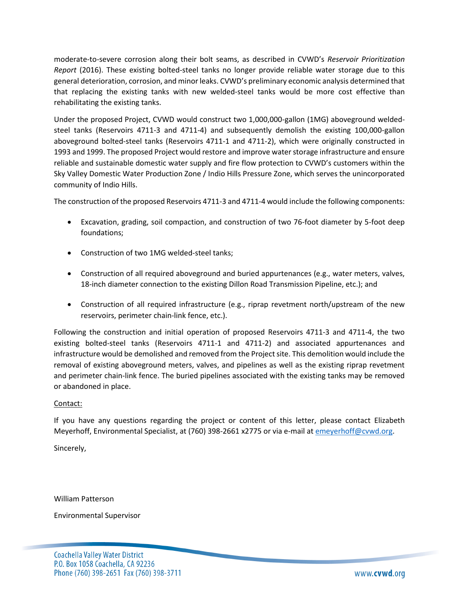moderate-to-severe corrosion along their bolt seams, as described in CVWD's *Reservoir Prioritization Report* (2016). These existing bolted-steel tanks no longer provide reliable water storage due to this general deterioration, corrosion, and minor leaks. CVWD's preliminary economic analysis determined that that replacing the existing tanks with new welded-steel tanks would be more cost effective than rehabilitating the existing tanks.

Under the proposed Project, CVWD would construct two 1,000,000-gallon (1MG) aboveground weldedsteel tanks (Reservoirs 4711-3 and 4711-4) and subsequently demolish the existing 100,000-gallon aboveground bolted-steel tanks (Reservoirs 4711-1 and 4711-2), which were originally constructed in 1993 and 1999. The proposed Project would restore and improve water storage infrastructure and ensure reliable and sustainable domestic water supply and fire flow protection to CVWD's customers within the Sky Valley Domestic Water Production Zone / Indio Hills Pressure Zone, which serves the unincorporated community of Indio Hills.

The construction of the proposed Reservoirs 4711-3 and 4711-4 would include the following components:

- Excavation, grading, soil compaction, and construction of two 76-foot diameter by 5-foot deep foundations;
- Construction of two 1MG welded-steel tanks;
- Construction of all required aboveground and buried appurtenances (e.g., water meters, valves, 18-inch diameter connection to the existing Dillon Road Transmission Pipeline, etc.); and
- Construction of all required infrastructure (e.g., riprap revetment north/upstream of the new reservoirs, perimeter chain-link fence, etc.).

Following the construction and initial operation of proposed Reservoirs 4711-3 and 4711-4, the two existing bolted-steel tanks (Reservoirs 4711-1 and 4711-2) and associated appurtenances and infrastructure would be demolished and removed from the Project site. This demolition would include the removal of existing aboveground meters, valves, and pipelines as well as the existing riprap revetment and perimeter chain-link fence. The buried pipelines associated with the existing tanks may be removed or abandoned in place.

#### Contact:

If you have any questions regarding the project or content of this letter, please contact Elizabeth Meyerhoff, Environmental Specialist, at (760) 398-2661 x2775 or via e-mail at [emeyerhoff@cvwd.org.](mailto:emeyerhoff@cvwd.org)

Sincerely,

William Patterson

Environmental Supervisor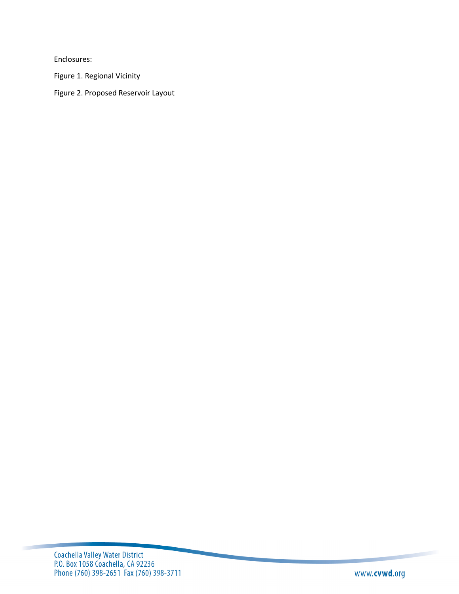Enclosures:

Figure 1. Regional Vicinity

Figure 2. Proposed Reservoir Layout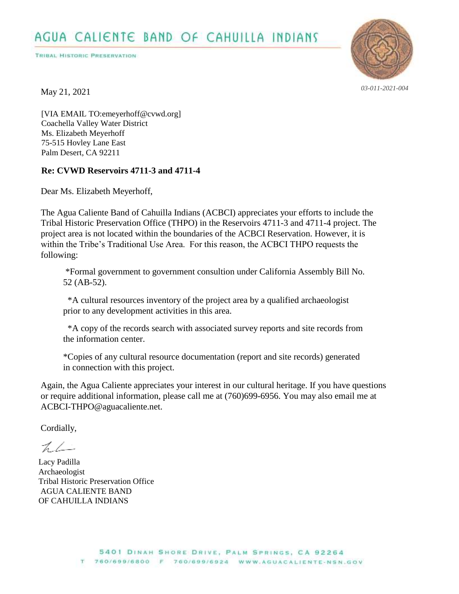TRIBAL HISTORIC PRESERVATION



*03-011-2021-004*

May 21, 2021

[VIA EMAIL TO:emeyerhoff@cvwd.org] Coachella Valley Water District Ms. Elizabeth Meyerhoff 75-515 Hovley Lane East Palm Desert, CA 92211

# **Re: CVWD Reservoirs 4711-3 and 4711-4**

Dear Ms. Elizabeth Meyerhoff,

The Agua Caliente Band of Cahuilla Indians (ACBCI) appreciates your efforts to include the Tribal Historic Preservation Office (THPO) in the Reservoirs 4711-3 and 4711-4 project. The project area is not located within the boundaries of the ACBCI Reservation. However, it is within the Tribe's Traditional Use Area. For this reason, the ACBCI THPO requests the following:

0 \*Formal government to government consultion under California Assembly Bill No. 52 (AB-52).

0 \*A cultural resources inventory of the project area by a qualified archaeologist prior to any development activities in this area.

\*A copy of the records search with associated survey reports and site records from the information center.

0 \*Copies of any cultural resource documentation (report and site records) generated in connection with this project.

Again, the Agua Caliente appreciates your interest in our cultural heritage. If you have questions or require additional information, please call me at (760)699-6956. You may also email me at ACBCI-THPO@aguacaliente.net.

Cordially,

 $7/1$ 

Lacy Padilla Archaeologist Tribal Historic Preservation Office AGUA CALIENTE BAND OF CAHUILLA INDIANS